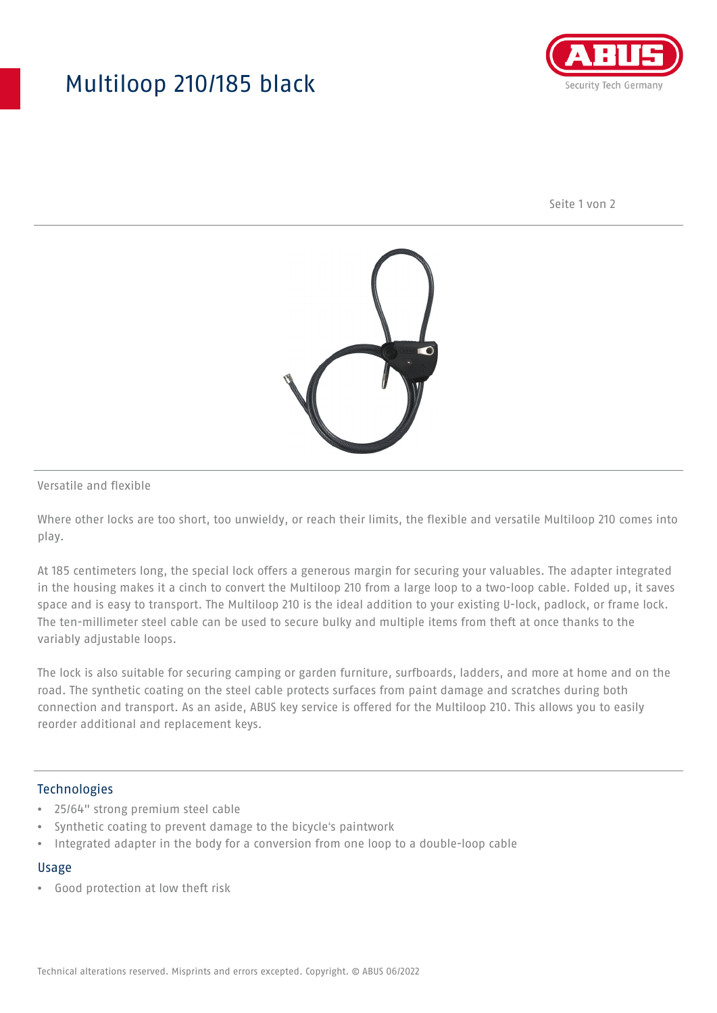## Multiloop 210/185 black



Seite 1 von 2



Versatile and flexible

Where other locks are too short, too unwieldy, or reach their limits, the flexible and versatile Multiloop 210 comes into play.

At 185 centimeters long, the special lock offers a generous margin for securing your valuables. The adapter integrated in the housing makes it a cinch to convert the Multiloop 210 from a large loop to a two-loop cable. Folded up, it saves space and is easy to transport. The Multiloop 210 is the ideal addition to your existing U-lock, padlock, or frame lock. The ten-millimeter steel cable can be used to secure bulky and multiple items from theft at once thanks to the variably adjustable loops.

The lock is also suitable for securing camping or garden furniture, surfboards, ladders, and more at home and on the road. The synthetic coating on the steel cable protects surfaces from paint damage and scratches during both connection and transport. As an aside, ABUS key service is offered for the Multiloop 210. This allows you to easily reorder additional and replacement keys.

### Technologies

- 25/64" strong premium steel cable
- Synthetic coating to prevent damage to the bicycle's paintwork
- Integrated adapter in the body for a conversion from one loop to a double-loop cable

#### Usage

• Good protection at low theft risk